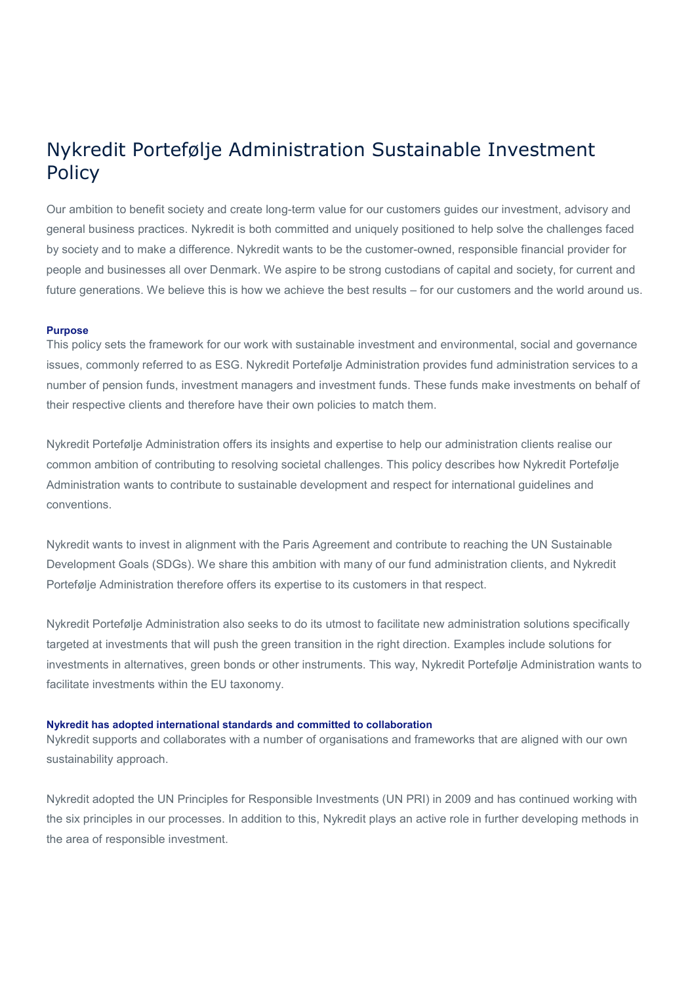# Nykredit Portefølje Administration Sustainable Investment **Policy**

Our ambition to benefit society and create long-term value for our customers guides our investment, advisory and general business practices. Nykredit is both committed and uniquely positioned to help solve the challenges faced by society and to make a difference. Nykredit wants to be the customer-owned, responsible financial provider for people and businesses all over Denmark. We aspire to be strong custodians of capital and society, for current and future generations. We believe this is how we achieve the best results – for our customers and the world around us.

# **Purpose**

This policy sets the framework for our work with sustainable investment and environmental, social and governance issues, commonly referred to as ESG. Nykredit Portefølje Administration provides fund administration services to a number of pension funds, investment managers and investment funds. These funds make investments on behalf of their respective clients and therefore have their own policies to match them.

Nykredit Portefølje Administration offers its insights and expertise to help our administration clients realise our common ambition of contributing to resolving societal challenges. This policy describes how Nykredit Portefølje Administration wants to contribute to sustainable development and respect for international guidelines and conventions.

Nykredit wants to invest in alignment with the Paris Agreement and contribute to reaching the UN Sustainable Development Goals (SDGs). We share this ambition with many of our fund administration clients, and Nykredit Portefølje Administration therefore offers its expertise to its customers in that respect.

Nykredit Portefølje Administration also seeks to do its utmost to facilitate new administration solutions specifically targeted at investments that will push the green transition in the right direction. Examples include solutions for investments in alternatives, green bonds or other instruments. This way, Nykredit Portefølje Administration wants to facilitate investments within the EU taxonomy.

## **Nykredit has adopted international standards and committed to collaboration**

Nykredit supports and collaborates with a number of organisations and frameworks that are aligned with our own sustainability approach.

Nykredit adopted the UN Principles for Responsible Investments (UN PRI) in 2009 and has continued working with the six principles in our processes. In addition to this, Nykredit plays an active role in further developing methods in the area of responsible investment.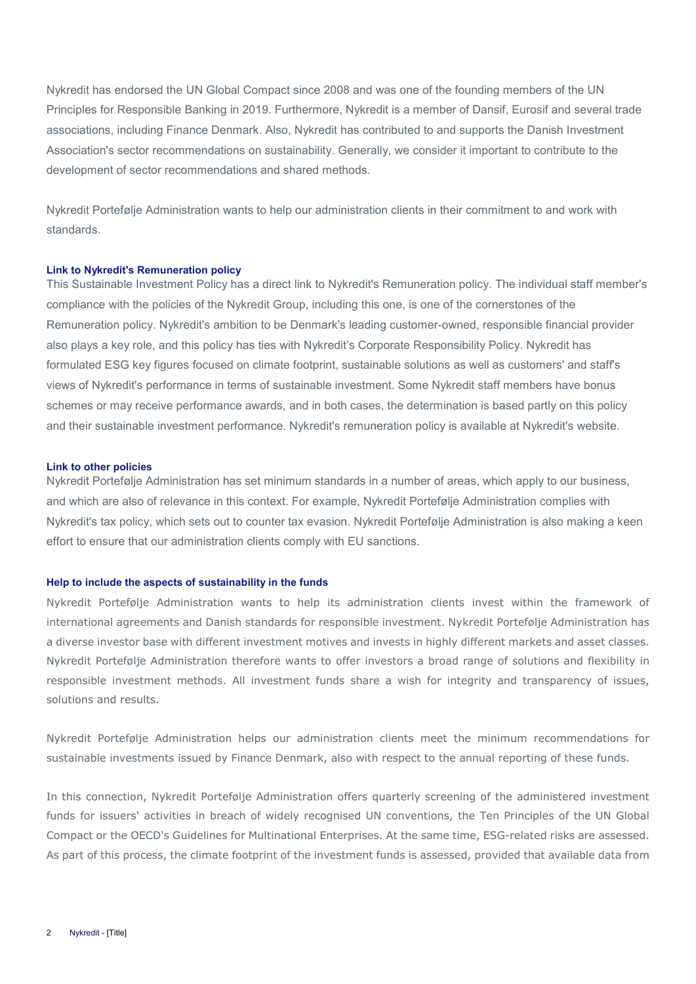Nykredit has endorsed the UN Global Compact since 2008 and was one of the founding members of the UN Principles for Responsible Banking in 2019. Furthermore, Nykredit is a member of Dansif, Eurosif and several trade associations, including Finance Denmark. Also, Nykredit has contributed to and supports the Danish Investment Association's sector recommendations on sustainability. Generally, we consider it important to contribute to the development of sector recommendations and shared methods.

Nykredit Portefølje Administration wants to help our administration clients in their commitment to and work with standards.

### **Link to Nykredit's Remuneration policy**

This Sustainable Investment Policy has a direct link to Nykredit's Remuneration policy. The individual staff member's compliance with the policies of the Nykredit Group, including this one, is one of the cornerstones of the Remuneration policy. Nykredit's ambition to be Denmark's leading customer-owned, responsible financial provider also plays a key role, and this policy has ties with Nykredit's Corporate Responsibility Policy. Nykredit has formulated ESG key figures focused on climate footprint, sustainable solutions as well as customers' and staff's views of Nykredit's performance in terms of sustainable investment. Some Nykredit staff members have bonus schemes or may receive performance awards, and in both cases, the determination is based partly on this policy and their sustainable investment performance. Nykredit's remuneration policy is available at Nykredit's website.

### **Link to other policies**

Nykredit Portefølje Administration has set minimum standards in a number of areas, which apply to our business, and which are also of relevance in this context. For example, Nykredit Portefølje Administration complies with Nykredit's tax policy, which sets out to counter tax evasion. Nykredit Portefølje Administration is also making a keen effort to ensure that our administration clients comply with EU sanctions.

# **Help to include the aspects of sustainability in the funds**

Nykredit Portefølje Administration wants to help its administration clients invest within the framework of international agreements and Danish standards for responsible investment. Nykredit Portefølje Administration has a diverse investor base with different investment motives and invests in highly different markets and asset classes. Nykredit Portefølje Administration therefore wants to offer investors a broad range of solutions and flexibility in responsible investment methods. All investment funds share a wish for integrity and transparency of issues, solutions and results.

Nykredit Portefølje Administration helps our administration clients meet the minimum recommendations for sustainable investments issued by Finance Denmark, also with respect to the annual reporting of these funds.

In this connection, Nykredit Portefølje Administration offers quarterly screening of the administered investment funds for issuers' activities in breach of widely recognised UN conventions, the Ten Principles of the UN Global Compact or the OECD's Guidelines for Multinational Enterprises. At the same time, ESG-related risks are assessed. As part of this process, the climate footprint of the investment funds is assessed, provided that available data from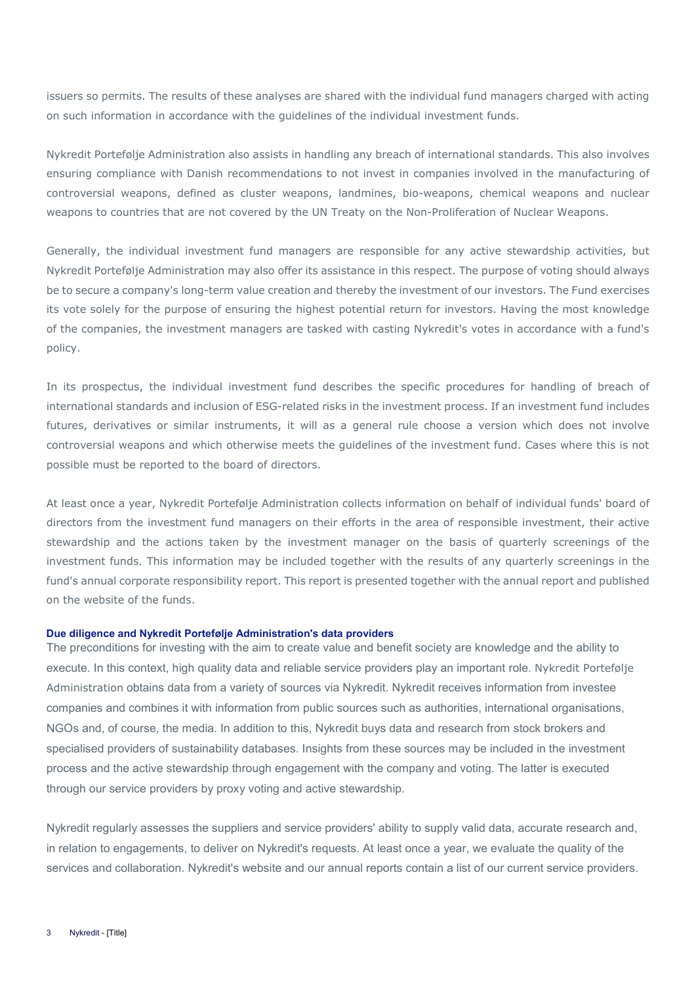issuers so permits. The results of these analyses are shared with the individual fund managers charged with acting on such information in accordance with the guidelines of the individual investment funds.

Nykredit Portefølje Administration also assists in handling any breach of international standards. This also involves ensuring compliance with Danish recommendations to not invest in companies involved in the manufacturing of controversial weapons, defined as cluster weapons, landmines, bio-weapons, chemical weapons and nuclear weapons to countries that are not covered by the UN Treaty on the Non-Proliferation of Nuclear Weapons.

Generally, the individual investment fund managers are responsible for any active stewardship activities, but Nykredit Portefølje Administration may also offer its assistance in this respect. The purpose of voting should always be to secure a company's long-term value creation and thereby the investment of our investors. The Fund exercises its vote solely for the purpose of ensuring the highest potential return for investors. Having the most knowledge of the companies, the investment managers are tasked with casting Nykredit's votes in accordance with a fund's policy.

In its prospectus, the individual investment fund describes the specific procedures for handling of breach of international standards and inclusion of ESG-related risks in the investment process. If an investment fund includes futures, derivatives or similar instruments, it will as a general rule choose a version which does not involve controversial weapons and which otherwise meets the guidelines of the investment fund. Cases where this is not possible must be reported to the board of directors.

At least once a year, Nykredit Portefølje Administration collects information on behalf of individual funds' board of directors from the investment fund managers on their efforts in the area of responsible investment, their active stewardship and the actions taken by the investment manager on the basis of quarterly screenings of the investment funds. This information may be included together with the results of any quarterly screenings in the fund's annual corporate responsibility report. This report is presented together with the annual report and published on the website of the funds.

# **Due diligence and Nykredit Portefølje Administration's data providers**

The preconditions for investing with the aim to create value and benefit society are knowledge and the ability to execute. In this context, high quality data and reliable service providers play an important role. Nykredit Portefølje Administration obtains data from a variety of sources via Nykredit. Nykredit receives information from investee companies and combines it with information from public sources such as authorities, international organisations, NGOs and, of course, the media. In addition to this, Nykredit buys data and research from stock brokers and specialised providers of sustainability databases. Insights from these sources may be included in the investment process and the active stewardship through engagement with the company and voting. The latter is executed through our service providers by proxy voting and active stewardship.

Nykredit regularly assesses the suppliers and service providers' ability to supply valid data, accurate research and, in relation to engagements, to deliver on Nykredit's requests. At least once a year, we evaluate the quality of the services and collaboration. Nykredit's website and our annual reports contain a list of our current service providers.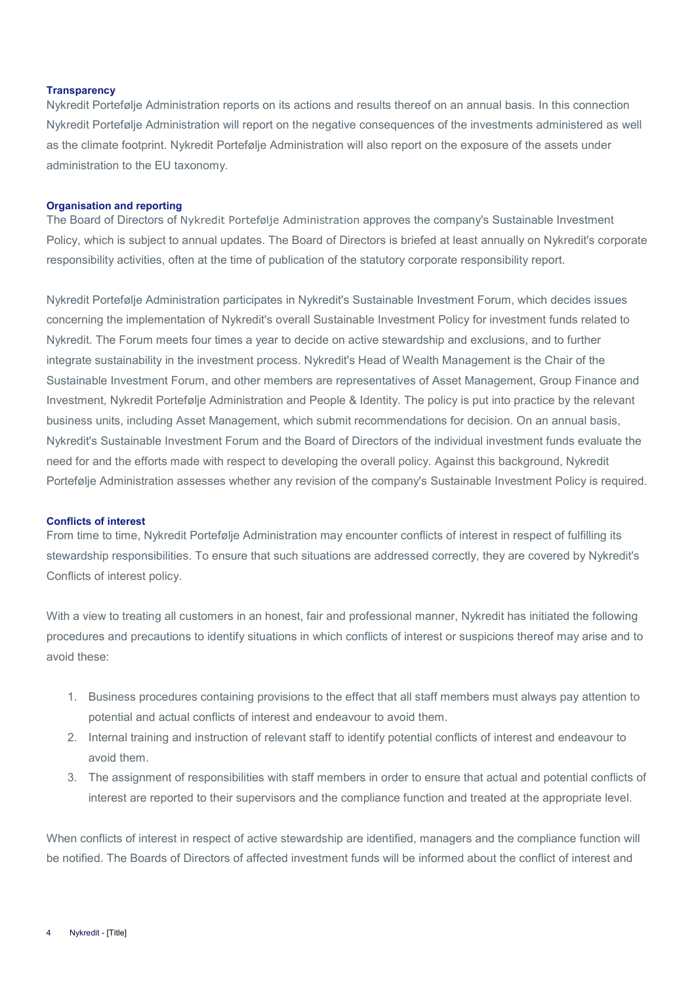# **Transparency**

Nykredit Portefølje Administration reports on its actions and results thereof on an annual basis. In this connection Nykredit Portefølje Administration will report on the negative consequences of the investments administered as well as the climate footprint. Nykredit Portefølje Administration will also report on the exposure of the assets under administration to the EU taxonomy.

## **Organisation and reporting**

The Board of Directors of Nykredit Portefølje Administration approves the company's Sustainable Investment Policy, which is subject to annual updates. The Board of Directors is briefed at least annually on Nykredit's corporate responsibility activities, often at the time of publication of the statutory corporate responsibility report.

Nykredit Portefølje Administration participates in Nykredit's Sustainable Investment Forum, which decides issues concerning the implementation of Nykredit's overall Sustainable Investment Policy for investment funds related to Nykredit. The Forum meets four times a year to decide on active stewardship and exclusions, and to further integrate sustainability in the investment process. Nykredit's Head of Wealth Management is the Chair of the Sustainable Investment Forum, and other members are representatives of Asset Management, Group Finance and Investment, Nykredit Portefølje Administration and People & Identity. The policy is put into practice by the relevant business units, including Asset Management, which submit recommendations for decision. On an annual basis, Nykredit's Sustainable Investment Forum and the Board of Directors of the individual investment funds evaluate the need for and the efforts made with respect to developing the overall policy. Against this background, Nykredit Portefølje Administration assesses whether any revision of the company's Sustainable Investment Policy is required.

## **Conflicts of interest**

From time to time, Nykredit Portefølje Administration may encounter conflicts of interest in respect of fulfilling its stewardship responsibilities. To ensure that such situations are addressed correctly, they are covered by Nykredit's Conflicts of interest policy.

With a view to treating all customers in an honest, fair and professional manner, Nykredit has initiated the following procedures and precautions to identify situations in which conflicts of interest or suspicions thereof may arise and to avoid these:

- 1. Business procedures containing provisions to the effect that all staff members must always pay attention to potential and actual conflicts of interest and endeavour to avoid them.
- 2. Internal training and instruction of relevant staff to identify potential conflicts of interest and endeavour to avoid them.
- 3. The assignment of responsibilities with staff members in order to ensure that actual and potential conflicts of interest are reported to their supervisors and the compliance function and treated at the appropriate level.

When conflicts of interest in respect of active stewardship are identified, managers and the compliance function will be notified. The Boards of Directors of affected investment funds will be informed about the conflict of interest and